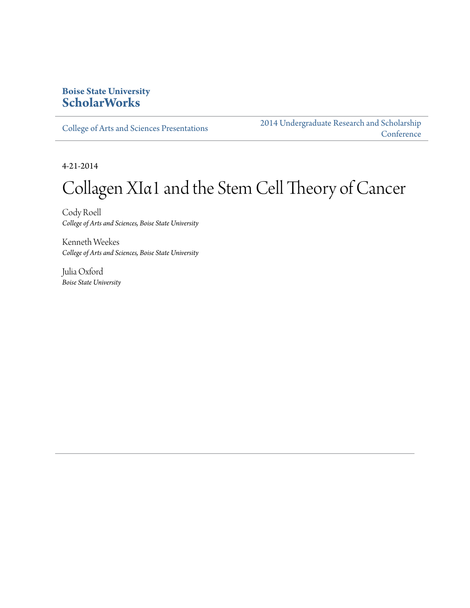### **Boise State University [ScholarWorks](http://scholarworks.boisestate.edu)**

[College of Arts and Sciences Presentations](http://scholarworks.boisestate.edu/as_14)

[2014 Undergraduate Research and Scholarship](http://scholarworks.boisestate.edu/2014_under_conf) **[Conference](http://scholarworks.boisestate.edu/2014_under_conf)** 

4-21-2014

### Collagen XIα1 and the Stem Cell Theory of Cancer

Cody Roell *College of Arts and Sciences, Boise State University*

Kenneth Weekes *College of Arts and Sciences, Boise State University*

Julia Oxford *Boise State University*